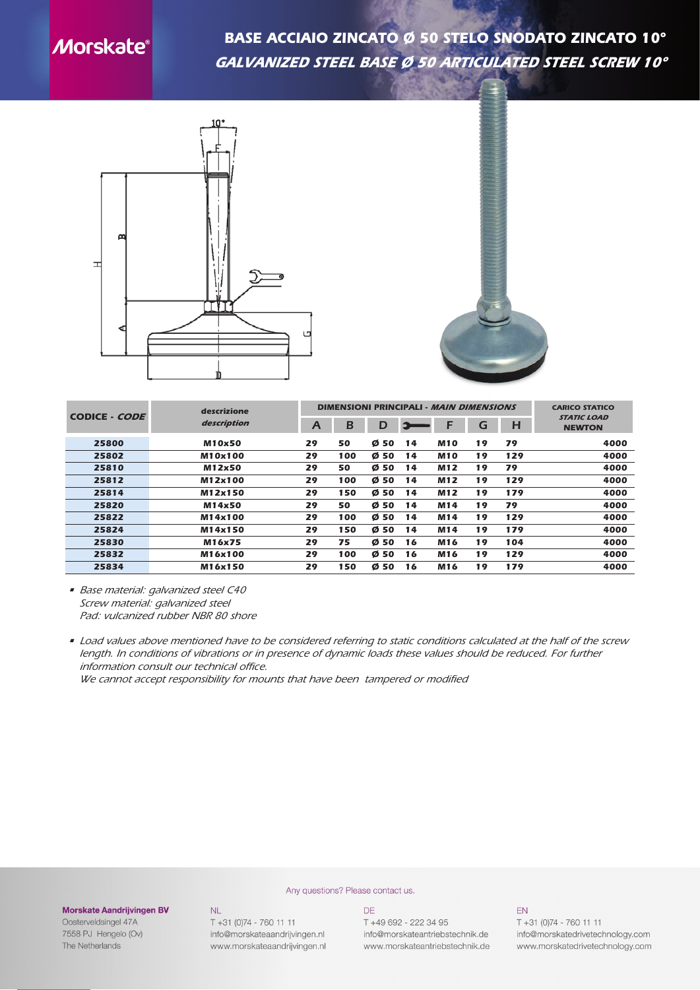## **Morskate®**

*BASE ACCIAIO ZINCATO Ø 50 STELO SNODATO ZINCATO 10° galvanized steel base ø 50 articulated steel screw 10°*





| CODICE - CODE | descrizione<br>description |                | <b>DIMENSIONI PRINCIPALI - MAIN DIMENSIONS</b> | <b>CARICO STATICO</b> |      |            |    |     |                                     |
|---------------|----------------------------|----------------|------------------------------------------------|-----------------------|------|------------|----|-----|-------------------------------------|
|               |                            | $\overline{A}$ | B                                              | D                     | lis. | F          | G  | Н   | <b>STATIC LOAD</b><br><b>NEWTON</b> |
| 25800         | <b>M10x50</b>              | 29             | 50                                             | Ø 50                  | 14   | <b>M10</b> | 19 | 79  | 4000                                |
| 25802         | M10x100                    | 29             | 100                                            | Ø 50                  | 14   | <b>M10</b> | 19 | 129 | 4000                                |
| 25810         | M12x50                     | 29             | 50                                             | Ø 50                  | 14   | M12        | 19 | 79  | 4000                                |
| 25812         | M12x100                    | 29             | 100                                            | Ø 50                  | 14   | M12        | 19 | 129 | 4000                                |
| 25814         | M12x150                    | 29             | 150                                            | Ø 50                  | 14   | M12        | 19 | 179 | 4000                                |
| 25820         | M14x50                     | 29             | 50                                             | Ø 50                  | 14   | M14        | 19 | 79  | 4000                                |
| 25822         | M14x100                    | 29             | 100                                            | Ø 50                  | 14   | M14        | 19 | 129 | 4000                                |
| 25824         | M14x150                    | 29             | 150                                            | Ø 50                  | 14   | M14        | 19 | 179 | 4000                                |
| 25830         | M16x75                     | 29             | 75                                             | Ø 50                  | 16   | M16        | 19 | 104 | 4000                                |
| 25832         | M16x100                    | 29             | 100                                            | Ø 50                  | 16   | M16        | 19 | 129 | 4000                                |
| 25834         | M16x150                    | 29             | 150                                            | Ø 50                  | 16   | M16        | 19 | 179 | 4000                                |

*• Base material: galvanized steel C40 Screw material: galvanized steel Pad: vulcanized rubber NBR 80 shore*

• Load values above mentioned have to be considered referring to static conditions calculated at the half of the screw length. In conditions of vibrations or in presence of dynamic loads these values should be reduced. For further *information consult our technical office.*

Any questions? Please contact us.

*We cannot accept responsibility for mounts that have been tampered or modified*

## **Morskate Aandrijvingen BV**

Oosterveldsingel 47A 7558 PJ Hengelo (Ov) The Netherlands

T +31 (0)74 - 760 11 11

info@morskateaandrijvingen.nl

www.morskateaandrijvingen.nl

 $NL$ 

**DE** T +49 692 - 222 34 95 info@morskateantriebstechnik.de

www.morskateantriebstechnik.de

EN

T +31 (0)74 - 760 11 11 info@morskatedrivetechnology.com www.morskatedrivetechnology.com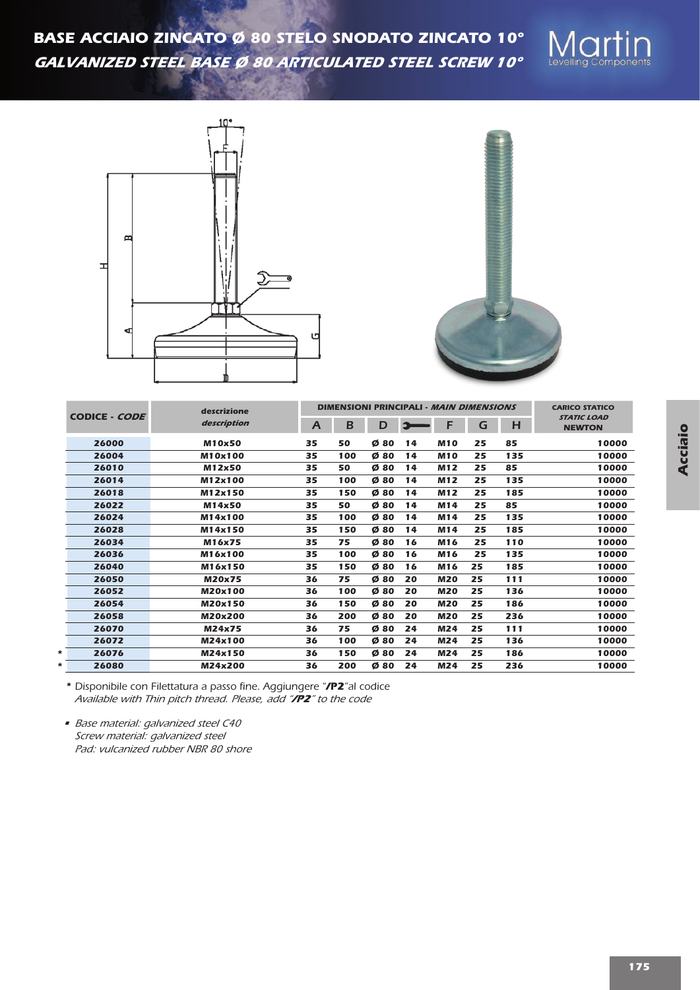





| <b>CODICE - CODE</b> | descrizione   |              | <b>DIMENSIONI PRINCIPALI - MAIN DIMENSIONS</b> | <b>CARICO STATICO</b> |    |            |    |     |                                     |
|----------------------|---------------|--------------|------------------------------------------------|-----------------------|----|------------|----|-----|-------------------------------------|
|                      | description   | $\mathsf{A}$ | B                                              | D                     | 92 | F          | G  | н   | <b>STATIC LOAD</b><br><b>NEWTON</b> |
| 26000                | <b>M10x50</b> | 35           | 50                                             | Ø80                   | 14 | <b>M10</b> | 25 | 85  | 10000                               |
| 26004                | M10x100       | 35           | 100                                            | Ø80                   | 14 | <b>M10</b> | 25 | 135 | 10000                               |
| 26010                | M12x50        | 35           | 50                                             | Ø80                   | 14 | M12        | 25 | 85  | 10000                               |
| 26014                | M12x100       | 35           | 100                                            | Ø80                   | 14 | <b>M12</b> | 25 | 135 | 10000                               |
| 26018                | M12x150       | 35           | 150                                            | Ø80                   | 14 | M12        | 25 | 185 | 10000                               |
| 26022                | M14x50        | 35           | 50                                             | Ø80                   | 14 | M14        | 25 | 85  | 10000                               |
| 26024                | M14x100       | 35           | 100                                            | Ø80                   | 14 | M14        | 25 | 135 | 10000                               |
| 26028                | M14x150       | 35           | 150                                            | Ø80                   | 14 | M14        | 25 | 185 | 10000                               |
| 26034                | M16x75        | 35           | 75                                             | Ø80                   | 16 | M16        | 25 | 110 | 10000                               |
| 26036                | M16x100       | 35           | 100                                            | Ø80                   | 16 | M16        | 25 | 135 | 10000                               |
| 26040                | M16x150       | 35           | 150                                            | Ø80                   | 16 | M16        | 25 | 185 | 10000                               |
| 26050                | <b>M20x75</b> | 36           | 75                                             | Ø80                   | 20 | <b>M20</b> | 25 | 111 | 10000                               |
| 26052                | M20x100       | 36           | 100                                            | Ø80                   | 20 | <b>M20</b> | 25 | 136 | 10000                               |
| 26054                | M20x150       | 36           | 150                                            | Ø80                   | 20 | <b>M20</b> | 25 | 186 | 10000                               |
| 26058                | M20x200       | 36           | 200                                            | Ø80                   | 20 | <b>M20</b> | 25 | 236 | 10000                               |
| 26070                | M24x75        | 36           | 75                                             | Ø80                   | 24 | M24        | 25 | 111 | 10000                               |
| 26072                | M24x100       | 36           | 100                                            | Ø80                   | 24 | M24        | 25 | 136 | 10000                               |
| 26076<br>*           | M24x150       | 36           | 150                                            | Ø80                   | 24 | M24        | 25 | 186 | 10000                               |
| 26080<br>*           | M24x200       | 36           | 200                                            | Ø80                   | 24 | M24        | 25 | 236 | 10000                               |

*\* Disponibile con Filettatura a passo fine. Aggiungere "/P2"al codice Available with Thin pitch thread. Please, add "/P2" to the code*

*• Base material: galvanized steel C40 Screw material: galvanized steel Pad: vulcanized rubber NBR 80 shore*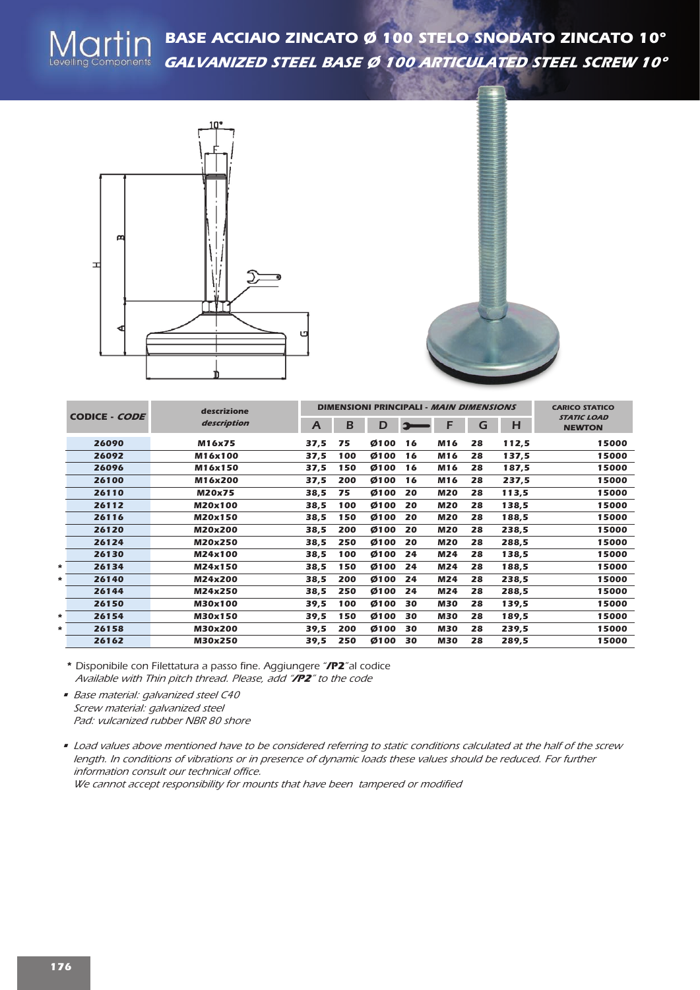



|        | CODICE - CODE |               | <b>DIMENSIONI PRINCIPALI - MAIN DIMENSIONS</b> | <b>CARICO STATICO</b> |      |    |            |    |       |                                     |
|--------|---------------|---------------|------------------------------------------------|-----------------------|------|----|------------|----|-------|-------------------------------------|
|        |               | description   | $\overline{A}$                                 | B                     | D    |    | F          | G  | H     | <b>STATIC LOAD</b><br><b>NEWTON</b> |
|        | 26090         | M16x75        | 37,5                                           | 75                    | Ø100 | 16 | M16        | 28 | 112,5 | 15000                               |
|        | 26092         | M16x100       | 37,5                                           | 100                   | Ø100 | 16 | M16        | 28 | 137,5 | 15000                               |
|        | 26096         | M16x150       | 37,5                                           | 150                   | Ø100 | 16 | M16        | 28 | 187,5 | 15000                               |
|        | 26100         | M16x200       | 37,5                                           | 200                   | Ø100 | 16 | M16        | 28 | 237,5 | 15000                               |
|        | 26110         | <b>M20x75</b> | 38,5                                           | 75                    | Ø100 | 20 | <b>M20</b> | 28 | 113,5 | 15000                               |
|        | 26112         | M20x100       | 38,5                                           | 100                   | Ø100 | 20 | <b>M20</b> | 28 | 138,5 | 15000                               |
|        | 26116         | M20x150       | 38,5                                           | 150                   | Ø100 | 20 | <b>M20</b> | 28 | 188,5 | 15000                               |
|        | 26120         | M20x200       | 38,5                                           | 200                   | Ø100 | 20 | <b>M20</b> | 28 | 238,5 | 15000                               |
|        | 26124         | M20x250       | 38,5                                           | 250                   | Ø100 | 20 | <b>M20</b> | 28 | 288,5 | 15000                               |
|        | 26130         | M24x100       | 38,5                                           | 100                   | Ø100 | 24 | <b>M24</b> | 28 | 138,5 | 15000                               |
| $\ast$ | 26134         | M24x150       | 38,5                                           | 150                   | Ø100 | 24 | M24        | 28 | 188,5 | 15000                               |
| *      | 26140         | M24x200       | 38,5                                           | 200                   | Ø100 | 24 | M24        | 28 | 238,5 | 15000                               |
|        | 26144         | M24x250       | 38,5                                           | 250                   | Ø100 | 24 | <b>M24</b> | 28 | 288,5 | 15000                               |
|        | 26150         | M30x100       | 39,5                                           | 100                   | Ø100 | 30 | <b>M30</b> | 28 | 139,5 | 15000                               |
| *      | 26154         | M30x150       | 39,5                                           | 150                   | Ø100 | 30 | <b>M30</b> | 28 | 189,5 | 15000                               |
| *      | 26158         | M30x200       | 39,5                                           | 200                   | Ø100 | 30 | <b>M30</b> | 28 | 239,5 | 15000                               |
|        | 26162         | M30x250       | 39,5                                           | 250                   | Ø100 | 30 | <b>M30</b> | 28 | 289,5 | 15000                               |

*\* Disponibile con Filettatura a passo fine. Aggiungere "/P2"al codice Available with Thin pitch thread. Please, add "/P2" to the code*

- *Base material: galvanized steel C40 Screw material: galvanized steel Pad: vulcanized rubber NBR 80 shore*
- Load values above mentioned have to be considered referring to static conditions calculated at the half of the screw length. In conditions of vibrations or in presence of dynamic loads these values should be reduced. For further *information consult our technical office. We cannot accept responsibility for mounts that have been tampered or modified*